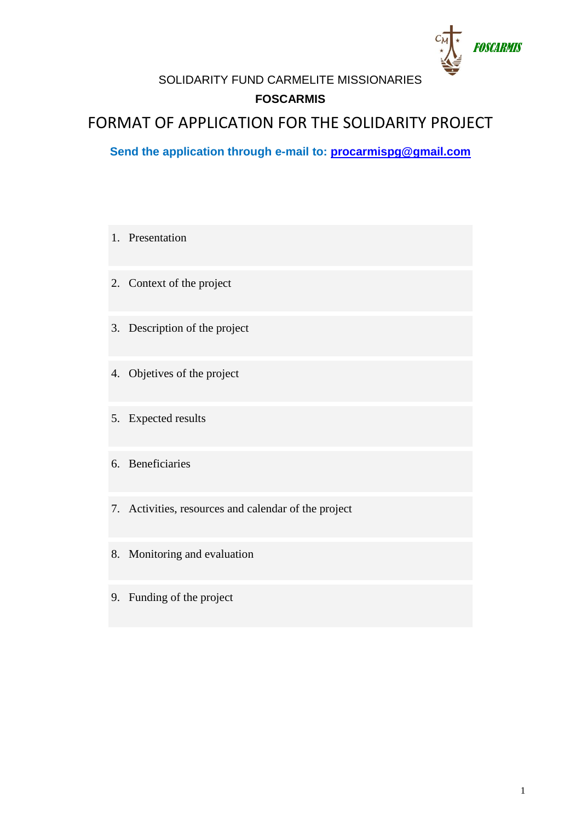

SOLIDARITY FUND CARMELITE MISSIONARIES **FOSCARMIS**

# FORMAT OF APPLICATION FOR THE SOLIDARITY PROJECT

**Send the application through e-mail to: [procarmispg@gmail.com](mailto:procarmispg@gmail.com)**

- 1. Presentation 2. Context of the project 3. Description of the project 4. Objetives of the project 5. Expected results 6. Beneficiaries 7. Activities, resources and calendar of the project 8. Monitoring and evaluation
- 9. Funding of the project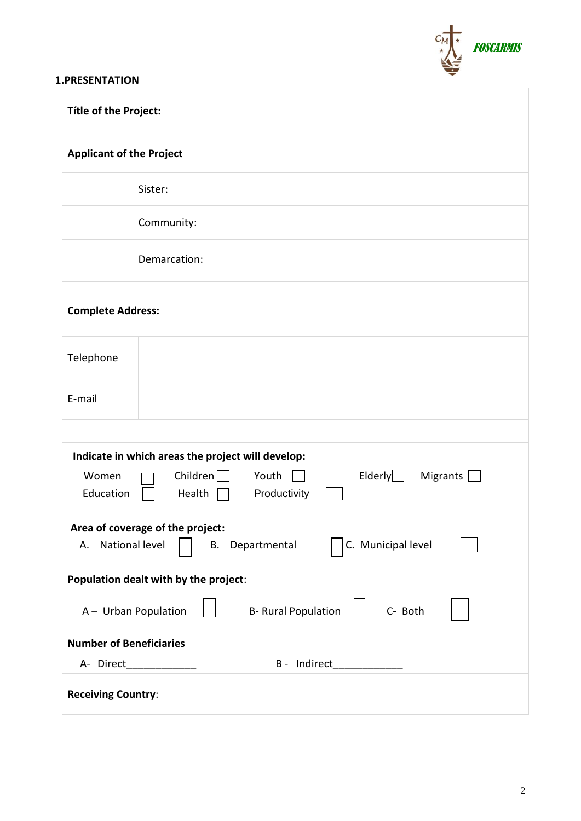

#### **1.PRESENTATION**

| Títle of the Project:                                                                                                                                              |
|--------------------------------------------------------------------------------------------------------------------------------------------------------------------|
| <b>Applicant of the Project</b>                                                                                                                                    |
| Sister:                                                                                                                                                            |
| Community:                                                                                                                                                         |
| Demarcation:                                                                                                                                                       |
| <b>Complete Address:</b>                                                                                                                                           |
| Telephone                                                                                                                                                          |
| E-mail                                                                                                                                                             |
|                                                                                                                                                                    |
| Indicate in which areas the project will develop:<br>Children $\Box$<br>Elderly $\Box$<br>Youth<br>Women<br>Migrants $\Box$<br>Productivity<br>Education<br>Health |
| Area of coverage of the project:<br>C. Municipal level<br>A. National level<br>B. Departmental                                                                     |
| Population dealt with by the project:                                                                                                                              |
| <b>B- Rural Population</b><br>C- Both<br>A - Urban Population                                                                                                      |
| <b>Number of Beneficiaries</b>                                                                                                                                     |
| A- Direct<br>B - Indirect                                                                                                                                          |
| <b>Receiving Country:</b>                                                                                                                                          |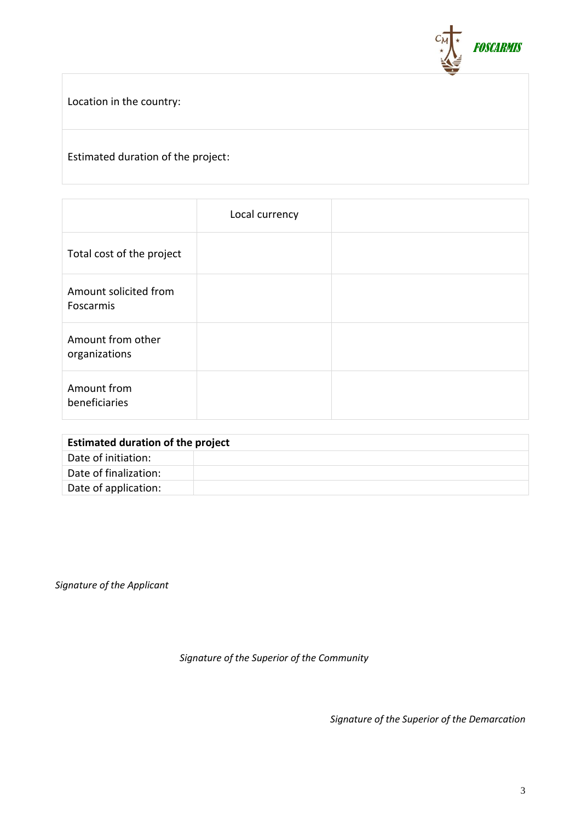

Location in the country:

### Estimated duration of the project:

|                                    | Local currency |  |
|------------------------------------|----------------|--|
| Total cost of the project          |                |  |
| Amount solicited from<br>Foscarmis |                |  |
| Amount from other<br>organizations |                |  |
| Amount from<br>beneficiaries       |                |  |

| <b>Estimated duration of the project</b> |  |
|------------------------------------------|--|
| Date of initiation:                      |  |
| Date of finalization:                    |  |
| Date of application:                     |  |

*Signature of the Applicant*

*Signature of the Superior of the Community*

*Signature of the Superior of the Demarcation*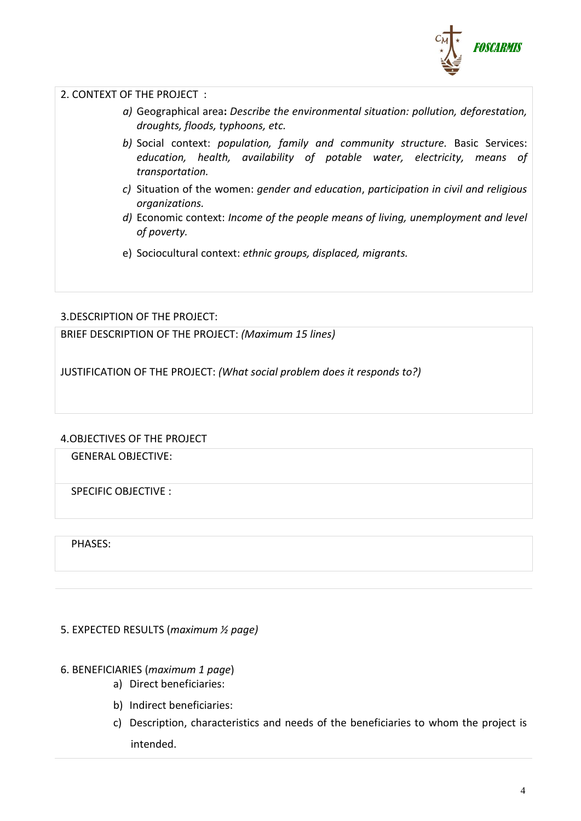

2. CONTEXT OF THE PROJECT :

- *a)* Geographical area**:** *Describe the environmental situation: pollution, deforestation, droughts, floods, typhoons, etc.*
- *b)* Social context: *population, family and community structure.* Basic Services: *education, health, availability of potable water, electricity, means of transportation.*
- *c)* Situation of the women: *gender and education*, *participation in civil and religious organizations.*
- *d)* Economic context: *Income of the people means of living, unemployment and level of poverty.*
- e) Sociocultural context: *ethnic groups, displaced, migrants.*

#### 3.DESCRIPTION OF THE PROJECT:

BRIEF DESCRIPTION OF THE PROJECT: *(Maximum 15 lines)*

JUSTIFICATION OF THE PROJECT: *(What social problem does it responds to?)*

#### 4.OBJECTIVES OF THE PROJECT

GENERAL OBJECTIVE:

SPECIFIC OBJECTIVE :

PHASES:

5. EXPECTED RESULTS (*maximum ½ page)*

#### 6. BENEFICIARIES (*maximum 1 page*)

- a) Direct beneficiaries:
- b) Indirect beneficiaries:
- c) Description, characteristics and needs of the beneficiaries to whom the project is intended.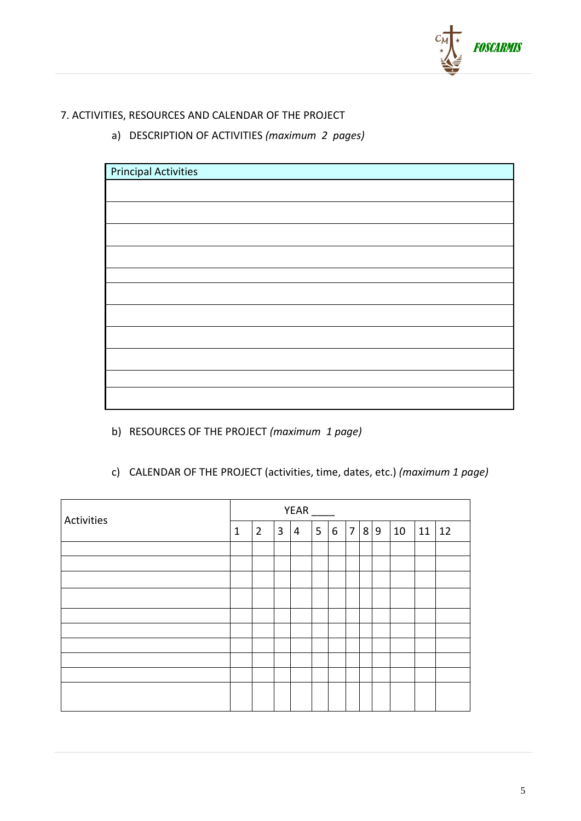

## 7. ACTIVITIES, RESOURCES AND CALENDAR OF THE PROJECT

a) DESCRIPTION OF ACTIVITIES *(maximum 2 pages)*

| Principal Activities |  |
|----------------------|--|
|                      |  |
|                      |  |
|                      |  |
|                      |  |
|                      |  |
|                      |  |
|                      |  |
|                      |  |
|                      |  |
|                      |  |
|                      |  |

b) RESOURCES OF THE PROJECT *(maximum 1 page)*

| c) CALENDAR OF THE PROJECT (activities, time, dates, etc.) (maximum 1 page) |  |
|-----------------------------------------------------------------------------|--|
|                                                                             |  |

| Activities | <b>YEAR</b>  |                |   |   |   |   |                |     |  |    |         |  |
|------------|--------------|----------------|---|---|---|---|----------------|-----|--|----|---------|--|
|            | $\mathbf{1}$ | $\overline{2}$ | 3 | 4 | 5 | 6 | $\overline{7}$ | 8 9 |  | 10 | $11$ 12 |  |
|            |              |                |   |   |   |   |                |     |  |    |         |  |
|            |              |                |   |   |   |   |                |     |  |    |         |  |
|            |              |                |   |   |   |   |                |     |  |    |         |  |
|            |              |                |   |   |   |   |                |     |  |    |         |  |
|            |              |                |   |   |   |   |                |     |  |    |         |  |
|            |              |                |   |   |   |   |                |     |  |    |         |  |
|            |              |                |   |   |   |   |                |     |  |    |         |  |
|            |              |                |   |   |   |   |                |     |  |    |         |  |
|            |              |                |   |   |   |   |                |     |  |    |         |  |
|            |              |                |   |   |   |   |                |     |  |    |         |  |
|            |              |                |   |   |   |   |                |     |  |    |         |  |